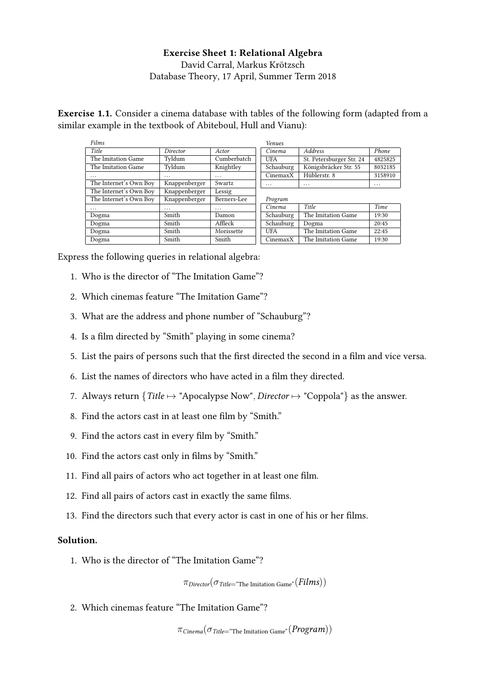# Exercise Sheet 1: Relational Algebra David Carral, Markus Krötzsch [Database Theory,](https://iccl.inf.tu-dresden.de/web/Database_Theory_(SS2018)) 17 April, Summer Term 2018

Exercise 1.1. Consider a cinema database with tables of the following form (adapted from a similar example in the textbook of Abiteboul, Hull and Vianu):

| Films                  |               |             | Venues     |                          |          |
|------------------------|---------------|-------------|------------|--------------------------|----------|
| Title                  | Director      | Actor       | Cinema     | <b>Address</b>           | Phone    |
| The Imitation Game     | Tyldum        | Cumberbatch | <b>UFA</b> | St. Petersburger Str. 24 | 4825825  |
| The Imitation Game     | Tyldum        | Knightley   | Schauburg  | Königsbräcker Str. 55    | 8032185  |
| .                      | $\cdots$      | $\cdots$    | CinemaxX   | Hüblerstr. 8             | 3158910  |
| The Internet's Own Boy | Knappenberger | Swartz      | $\cdots$   | $\cdots$                 | $\cdots$ |
| The Internet's Own Boy | Knappenberger | Lessig      |            |                          |          |
| The Internet's Own Boy | Knappenberger | Berners-Lee | Program    |                          |          |
| .                      | $\cdots$      | $\cdots$    | Cinema     | Title                    | Time     |
| Dogma                  | Smith         | Damon       | Schauburg  | The Imitation Game       | 19:30    |
| Dogma                  | Smith         | Affleck     | Schauburg  | Dogma                    | 20:45    |
| Dogma                  | Smith         | Morissette  | <b>UFA</b> | The Imitation Game       | 22:45    |
| Dogma                  | Smith         | Smith       | CinemaxX   | The Imitation Game       | 19:30    |

Express the following queries in relational algebra:

- 1. Who is the director of "The Imitation Game"?
- 2. Which cinemas feature "The Imitation Game"?
- 3. What are the address and phone number of "Schauburg"?
- 4. Is a film directed by "Smith" playing in some cinema?
- 5. List the pairs of persons such that the first directed the second in a film and vice versa.
- 6. List the names of directors who have acted in a film they directed.
- 7. Always return  $\{Title \mapsto \text{"Apocalypes Now", Director} \mapsto \text{"Coppola"}\}$  as the answer.
- 8. Find the actors cast in at least one film by "Smith."
- 9. Find the actors cast in every film by "Smith."
- 10. Find the actors cast only in films by "Smith."
- 11. Find all pairs of actors who act together in at least one film.
- 12. Find all pairs of actors cast in exactly the same films.
- 13. Find the directors such that every actor is cast in one of his or her films.

## Solution.

1. Who is the director of "The Imitation Game"?

 $\pi_{\text{Directory}}(\sigma_{\text{Title}} = \text{``The limitation Game''}(Films))$ 

2. Which cinemas feature "The Imitation Game"?

 $\pi_{Cinema}(\sigma_{Title}$ "The Imitation Game"  $(Program))$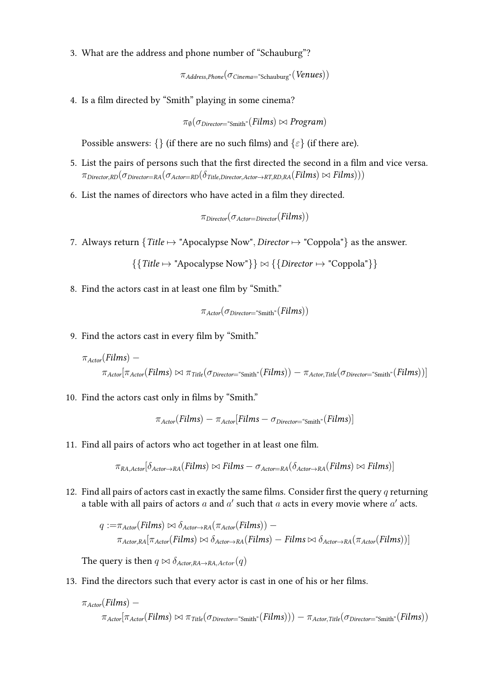3. What are the address and phone number of "Schauburg"?

 $\pi_{Address,Phone}(\sigma_{Cinema} = "Schauburg"({\it Venus})$ )

4. Is a film directed by "Smith" playing in some cinema?

 $\pi_{\emptyset}(\sigma_{\text{Directory}}=^*\text{Smith}^*(Films) \bowtie \text{Program})$ 

Possible answers: {} (if there are no such films) and { $\varepsilon$ } (if there are).

- 5. List the pairs of persons such that the first directed the second in a film and vice versa.  $\pi_{\text{Directory-RD}}(\sigma_{\text{Directory-RA}}(\sigma_{\text{Actor}=RD}(\delta_{\text{Title}}\text{Directory}.\text{Actor}\rightarrow_{RT,RD,RA} (Films))\bowtie Films)))$
- 6. List the names of directors who have acted in a film they directed.

$$
\pi_{\text{Directory}}(\sigma_{\text{Actor}=\text{Directory}}(\text{Films}))
$$

7. Always return  $\{Title \mapsto \text{"Apocalypes Now", Director} \mapsto \text{"Coppola"}\}$  as the answer.

 $\{$  Title  $\mapsto$  "Apocalypse Now"}  $\} \bowtie$   $\{$  Director  $\mapsto$  "Coppola"}  $\}$ 

8. Find the actors cast in at least one film by "Smith."

$$
\pi_{\text{Actor}}(\sigma_{\text{Directory}} \text{``Smith''}(Films))
$$

9. Find the actors cast in every film by "Smith."

$$
\pi_{\text{actor}}(\text{Films}) - \pi_{\text{actor}}(\text{Films}) \bowtie \pi_{\text{Title}}(\sigma_{\text{Directory}} \cdot \text{Smith}^*(\text{Films})) - \pi_{\text{actor},\text{Title}}(\sigma_{\text{Directory}} \cdot \text{Smith}^*(\text{Films}))]
$$

10. Find the actors cast only in films by "Smith."

$$
\pi_{\text{Actor}}(Films) - \pi_{\text{Actor}}[Films - \sigma_{\text{Director}} = \text{Smith}^*|Films)]
$$

11. Find all pairs of actors who act together in at least one film.

 $\pi_{RA, Actor}[\delta_{Actor \to RA}(Films) \bowtie Films - \sigma_{Actor=RA}(\delta_{Actor \to RA}(Films) \bowtie Films)]$ 

12. Find all pairs of actors cast in exactly the same films. Consider first the query  $q$  returning a table with all pairs of actors  $a$  and  $a'$  such that  $a$  acts in every movie where  $a'$  acts.

$$
q := \pi_{Actor}(Films) \bowtie \delta_{Actor \rightarrow RA}(\pi_{Actor}(Films)) - \pi_{Actor,RA}(\pi_{Actor \rightarrow RA}(Films) \bowtie \delta_{Actor \rightarrow RA}(Films)) - \pi_{Actor,RA}(\pi_{Actor}(Films))
$$

The query is then  $q \bowtie \delta_{Actor,RA\rightarrow RA,Actor}(q)$ 

13. Find the directors such that every actor is cast in one of his or her films.

$$
\pi_{\text{actor}}(\text{Films}) - \newline \pi_{\text{actor}}(\text{Films}) \bowtie \pi_{\text{Title}}(\sigma_{\text{Directory}} \text{``Smith"}(\text{Films}))) - \pi_{\text{actor},\text{Title}}(\sigma_{\text{Directory}} \text{``Smith"}(\text{Films}))
$$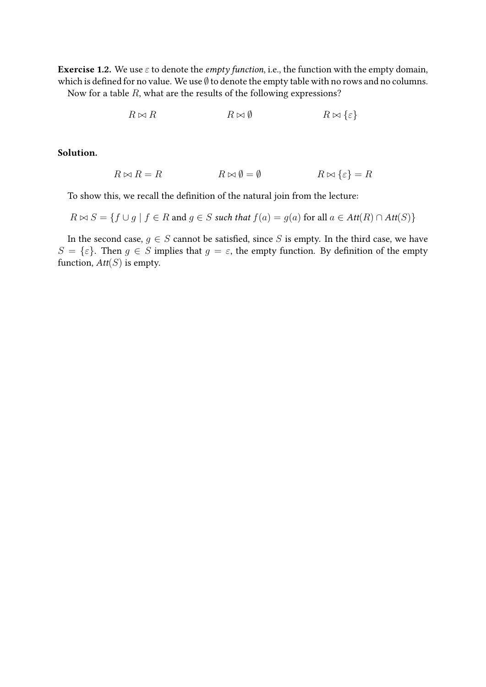**Exercise 1.2.** We use  $\varepsilon$  to denote the *empty function*, i.e., the function with the empty domain, which is defined for no value. We use  $\emptyset$  to denote the empty table with no rows and no columns. Now for a table  $R$ , what are the results of the following expressions?

$$
R \bowtie R \qquad \qquad R \bowtie \emptyset \qquad \qquad R \bowtie \{\varepsilon\}
$$

## Solution.

$$
R \bowtie R = R \qquad \qquad R \bowtie \emptyset = \emptyset \qquad \qquad R \bowtie \{\varepsilon\} = R
$$

To show this, we recall the definition of the natural join from the lecture:

$$
R \bowtie S = \{ f \cup g \mid f \in R \text{ and } g \in S \text{ such that } f(a) = g(a) \text{ for all } a \in Att(R) \cap Att(S) \}
$$

In the second case,  $g \in S$  cannot be satisfied, since S is empty. In the third case, we have  $S = {\varepsilon}.$  Then  $g \in S$  implies that  $g = \varepsilon$ , the empty function. By definition of the empty function,  $Att(S)$  is empty.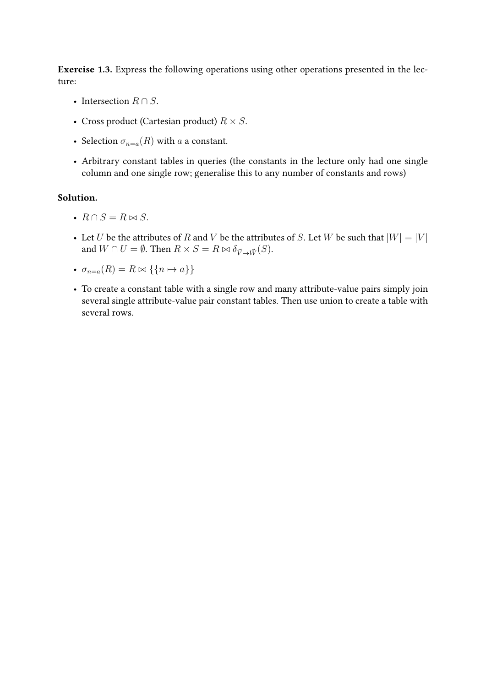Exercise 1.3. Express the following operations using other operations presented in the lecture:

- Intersection  $R \cap S$ .
- Cross product (Cartesian product)  $R \times S$ .
- Selection  $\sigma_{n=a}(R)$  with a a constant.
- Arbitrary constant tables in queries (the constants in the lecture only had one single column and one single row; generalise this to any number of constants and rows)

### Solution.

- $R \cap S = R \bowtie S$ .
- Let U be the attributes of R and V be the attributes of S. Let W be such that  $|W| = |V|$ and  $W \cap U = \emptyset$ . Then  $R \times S = R \bowtie \delta_{\vec{V} \to \vec{W}}(S)$ .
- $\sigma_{n=a}(R) = R \bowtie \{\{n \mapsto a\}\}\$
- To create a constant table with a single row and many attribute-value pairs simply join several single attribute-value pair constant tables. Then use union to create a table with several rows.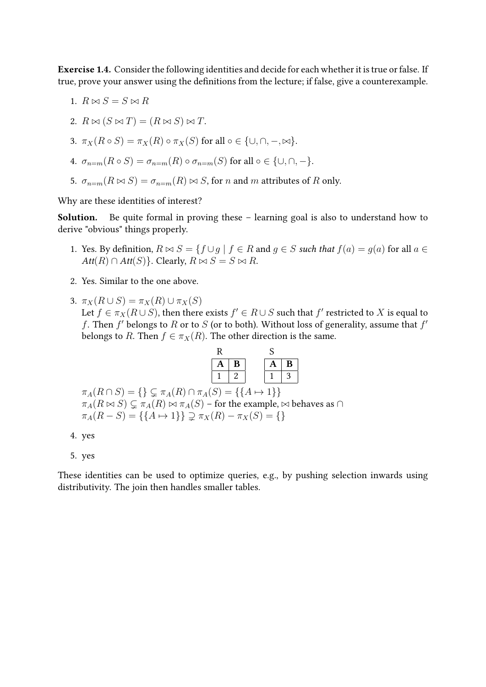Exercise 1.4. Consider the following identities and decide for each whether it is true or false. If true, prove your answer using the definitions from the lecture; if false, give a counterexample.

$$
1. \, R \bowtie S = S \bowtie R
$$

2. 
$$
R \bowtie (S \bowtie T) = (R \bowtie S) \bowtie T
$$
.

3. 
$$
\pi_X(R \circ S) = \pi_X(R) \circ \pi_X(S)
$$
 for all  $\circ \in \{\cup, \cap, -\infty\}$ .

4. 
$$
\sigma_{n=m}(R \circ S) = \sigma_{n=m}(R) \circ \sigma_{n=m}(S)
$$
 for all  $\circ \in \{\cup, \cap, -\}.$ 

5.  $\sigma_{n=m}(R \bowtie S) = \sigma_{n=m}(R) \bowtie S$ , for n and m attributes of R only.

Why are these identities of interest?

Solution. Be quite formal in proving these – learning goal is also to understand how to derive "obvious" things properly.

- 1. Yes. By definition,  $R \bowtie S = \{f \cup g \mid f \in R \text{ and } g \in S \text{ such that } f(a) = g(a) \text{ for all } a \in S \}$  $Att(R) \cap Att(S)$ . Clearly,  $R \bowtie S = S \bowtie R$ .
- 2. Yes. Similar to the one above.
- 3.  $\pi_X(R \cup S) = \pi_X(R) \cup \pi_X(S)$ Let  $f \in \pi_X(R \cup S)$ , then there exists  $f' \in R \cup S$  such that  $f'$  restricted to  $X$  is equal to f. Then  $f'$  belongs to R or to S (or to both). Without loss of generality, assume that  $f'$ belongs to R. Then  $f \in \pi_X(R)$ . The other direction is the same.

| R |    | ᡗ<br>Ğ |   |
|---|----|--------|---|
| A | B  | д      | B |
|   | ٠. |        | 3 |

| $\pi_A(R \cap S) = \{ \} \subsetneq \pi_A(R) \cap \pi_A(S) = \{ \{ A \mapsto 1 \} \}.$                   |
|----------------------------------------------------------------------------------------------------------|
| $\pi_A(R \bowtie S) \subsetneq \pi_A(R) \bowtie \pi_A(S)$ – for the example, $\bowtie$ behaves as $\cap$ |
| $\pi_A(R-S) = \{\{A \mapsto 1\}\} \supseteq \pi_X(R) - \pi_X(S) = \{\}\$                                 |

<sup>4.</sup> yes

5. yes

These identities can be used to optimize queries, e.g., by pushing selection inwards using distributivity. The join then handles smaller tables.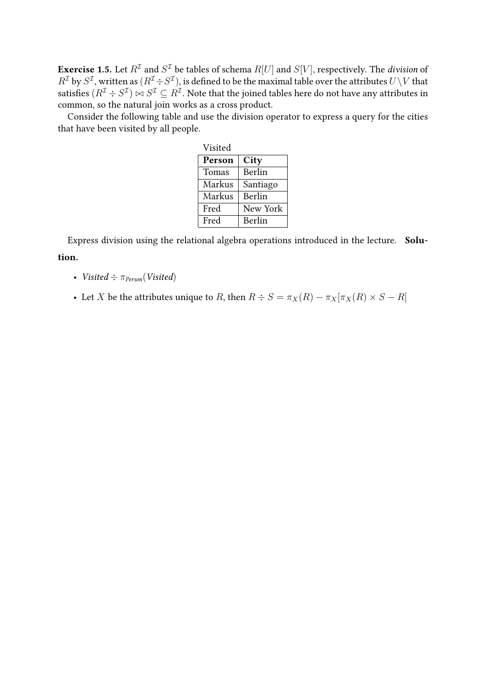**Exercise 1.5.** Let  $R^\mathcal{I}$  and  $S^\mathcal{I}$  be tables of schema  $R[U]$  and  $S[V]$ , respectively. The *division* of  $R^\mathcal{I}$  by  $S^\mathcal{I}$ , written as  $(R^\mathcal{I}\div S^\mathcal{I})$ , is defined to be the maximal table over the attributes  $U\backslash V$  that satisfies  $(R^{\cal I}\div S^{\cal I})\bowtie S^{\cal I}\subseteq R^{\cal I}.$  Note that the joined tables here do not have any attributes in common, so the natural join works as a cross product.

Consider the following table and use the division operator to express a query for the cities that have been visited by all people.

| Visited |          |  |  |
|---------|----------|--|--|
| Person  | City     |  |  |
| Tomas   | Berlin   |  |  |
| Markus  | Santiago |  |  |
| Markus  | Berlin   |  |  |
| Fred    | New York |  |  |
| Fred    | Berlin   |  |  |

Express division using the relational algebra operations introduced in the lecture. Solution.

- Visited  $\div \pi_{Person}(Visted)$
- Let X be the attributes unique to R, then  $R \div S = \pi_X(R) \pi_X[\pi_X(R) \times S R]$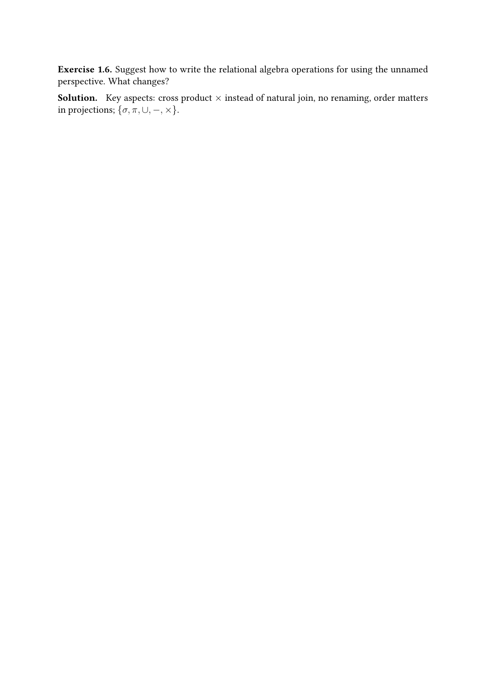Exercise 1.6. Suggest how to write the relational algebra operations for using the unnamed perspective. What changes?

**Solution.** Key aspects: cross product  $\times$  instead of natural join, no renaming, order matters in projections;  $\{\sigma, \pi, \cup, -, \times\}$ .